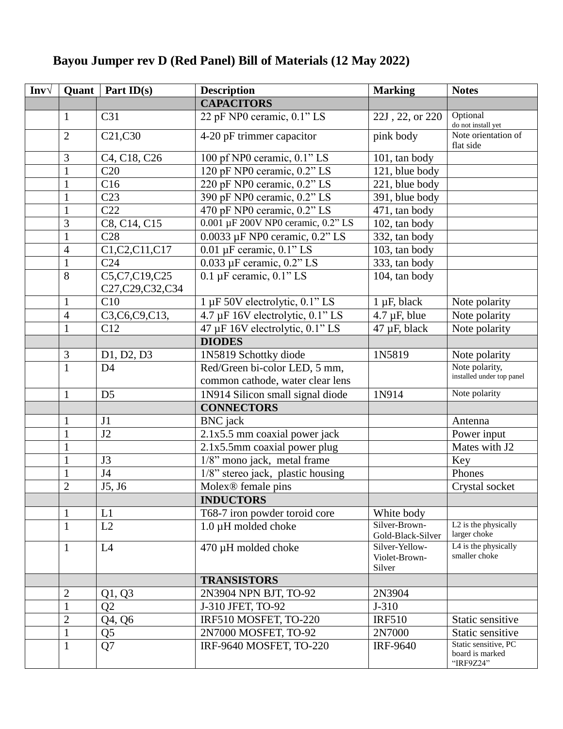## **Bayou Jumper rev D (Red Panel) Bill of Materials (12 May 2022)**

| $Inv\sqrt{}$ | Quant          | Part $ID(s)$                     | <b>Description</b>                       | <b>Marking</b>                            | <b>Notes</b>                                         |
|--------------|----------------|----------------------------------|------------------------------------------|-------------------------------------------|------------------------------------------------------|
|              |                |                                  | <b>CAPACITORS</b>                        |                                           |                                                      |
|              | 1              | C <sub>31</sub>                  | 22 pF NP0 ceramic, 0.1" LS               | 22J, 22, or 220                           | Optional<br>do not install yet                       |
|              | $\overline{2}$ | C21,C30                          | 4-20 pF trimmer capacitor                | pink body                                 | Note orientation of<br>flat side                     |
|              | 3              | C4, C18, C26                     | 100 pf NP0 ceramic, 0.1" LS              | 101, tan body                             |                                                      |
|              | $\mathbf{1}$   | C20                              | 120 pF NP0 ceramic, 0.2" LS              | 121, blue body                            |                                                      |
|              | $\mathbf{1}$   | C16                              | 220 pF NP0 ceramic, 0.2" LS              | 221, blue body                            |                                                      |
|              | $\mathbf{1}$   | C <sub>23</sub>                  | 390 pF NP0 ceramic, 0.2" LS              | 391, blue body                            |                                                      |
|              | $\mathbf{1}$   | C22                              | 470 pF NP0 ceramic, 0.2" LS              | 471, tan body                             |                                                      |
|              | 3              | C8, C14, C15                     | 0.001 µF 200V NP0 ceramic, 0.2" LS       | $\overline{102}$ , tan body               |                                                      |
|              | $\mathbf{1}$   | C28                              | 0.0033 µF NP0 ceramic, 0.2" LS           | 332, tan body                             |                                                      |
|              | $\overline{4}$ | C1, C2, C11, C17                 | $\overline{0.01}$ µF ceramic, $0.1$ " LS | 103, tan body                             |                                                      |
|              | $\mathbf{1}$   | C <sub>24</sub>                  | 0.033 µF ceramic, 0.2" LS                | 333, tan body                             |                                                      |
|              | 8              | C5,C7,C19,C25<br>C27,C29,C32,C34 | $0.1 \mu$ F ceramic, $0.1$ " LS          | 104, tan body                             |                                                      |
|              | $\mathbf{1}$   | C10                              | 1 µF 50V electrolytic, 0.1" LS           | $1 \mu F$ , black                         | Note polarity                                        |
|              | $\overline{4}$ | C3,C6,C9,C13,                    | 4.7 µF 16V electrolytic, 0.1" LS         | $4.7 \mu F$ , blue                        | Note polarity                                        |
|              | $\mathbf{1}$   | C12                              | 47 µF 16V electrolytic, 0.1" LS          | 47 µF, black                              | Note polarity                                        |
|              |                |                                  | <b>DIODES</b>                            |                                           |                                                      |
|              | 3              | D1, D2, D3                       | 1N5819 Schottky diode                    | 1N5819                                    | Note polarity                                        |
|              | $\mathbf{1}$   | D <sub>4</sub>                   | Red/Green bi-color LED, 5 mm,            |                                           | Note polarity,                                       |
|              |                |                                  | common cathode, water clear lens         |                                           | installed under top panel                            |
|              | $\mathbf{1}$   | D <sub>5</sub>                   | 1N914 Silicon small signal diode         | 1N914                                     | Note polarity                                        |
|              |                |                                  | <b>CONNECTORS</b>                        |                                           |                                                      |
|              | 1              | J <sub>1</sub>                   | <b>BNC</b> jack                          |                                           | Antenna                                              |
|              | $\mathbf{1}$   | J2                               | 2.1x5.5 mm coaxial power jack            |                                           | Power input                                          |
|              | $\mathbf{1}$   |                                  | 2.1x5.5mm coaxial power plug             |                                           | Mates with J2                                        |
|              | $\mathbf{1}$   | J3                               | 1/8" mono jack, metal frame              |                                           | Key                                                  |
|              | $\mathbf{1}$   | J <sub>4</sub>                   | 1/8" stereo jack, plastic housing        |                                           | Phones                                               |
|              | $\overline{2}$ | J5, J6                           | Molex <sup>®</sup> female pins           |                                           | Crystal socket                                       |
|              |                |                                  | <b>INDUCTORS</b>                         |                                           |                                                      |
|              | $\mathbf{1}$   | L1                               | T68-7 iron powder toroid core            | White body                                |                                                      |
|              | 1              | L2                               | 1.0 µH molded choke                      | Silver-Brown-<br>Gold-Black-Silver        | L2 is the physically<br>larger choke                 |
|              | $\mathbf{1}$   | L4                               | 470 µH molded choke                      | Silver-Yellow-<br>Violet-Brown-<br>Silver | L4 is the physically<br>smaller choke                |
|              |                |                                  | <b>TRANSISTORS</b>                       |                                           |                                                      |
|              | 2              | Q1, Q3                           | 2N3904 NPN BJT, TO-92                    | 2N3904                                    |                                                      |
|              | $\mathbf{1}$   | Q2                               | J-310 JFET, TO-92                        | $J-310$                                   |                                                      |
|              | $\overline{2}$ | Q4, Q6                           | IRF510 MOSFET, TO-220                    | <b>IRF510</b>                             | Static sensitive                                     |
|              | $\mathbf{1}$   | Q <sub>5</sub>                   | 2N7000 MOSFET, TO-92                     | 2N7000                                    | Static sensitive                                     |
|              | $\mathbf{1}$   | Q7                               | IRF-9640 MOSFET, TO-220                  | <b>IRF-9640</b>                           | Static sensitive, PC<br>board is marked<br>"IRF9Z24" |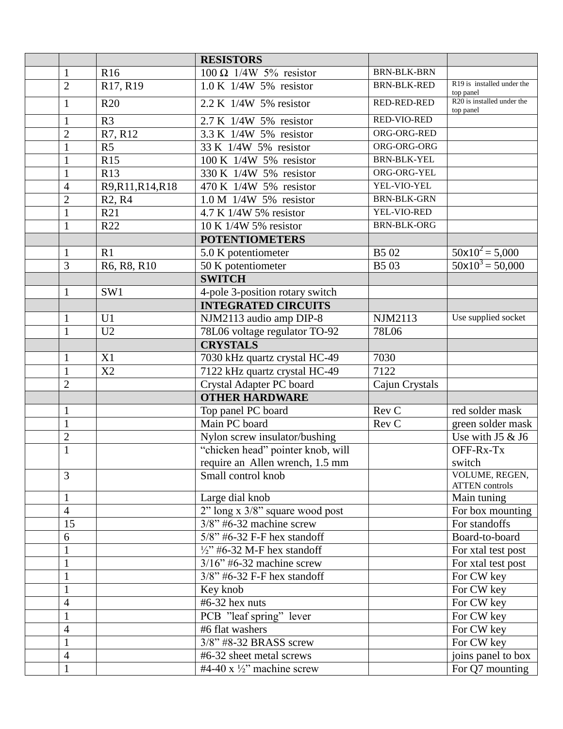|                   |                                 | <b>RESISTORS</b>                      |                    |                                                      |
|-------------------|---------------------------------|---------------------------------------|--------------------|------------------------------------------------------|
| 1                 | R <sub>16</sub>                 | $100 \Omega$ 1/4W 5% resistor         | <b>BRN-BLK-BRN</b> |                                                      |
| $\overline{2}$    | R17, R19                        | $1.0 K$ 1/4W 5% resistor              | <b>BRN-BLK-RED</b> | R19 is installed under the<br>top panel              |
| $\mathbf{1}$      | R20                             | 2.2 K 1/4W 5% resistor                | <b>RED-RED-RED</b> | $\overline{R20}$ is installed under the<br>top panel |
| $\mathbf{1}$      | R <sub>3</sub>                  | 2.7 K 1/4W 5% resistor                | RED-VIO-RED        |                                                      |
| $\overline{2}$    | R7, R12                         | 3.3 K 1/4W 5% resistor                | ORG-ORG-RED        |                                                      |
| $\mathbf{1}$      | R <sub>5</sub>                  | 33 K 1/4W 5% resistor                 | ORG-ORG-ORG        |                                                      |
| $\mathbf{1}$      | R15                             | 100 K 1/4W 5% resistor                | <b>BRN-BLK-YEL</b> |                                                      |
| $\mathbf{1}$      | R13                             | 330 K 1/4W 5% resistor                | ORG-ORG-YEL        |                                                      |
| $\overline{4}$    | R9, R11, R14, R18               | 470 K 1/4W 5% resistor                | YEL-VIO-YEL        |                                                      |
| $\overline{2}$    | R <sub>2</sub> , R <sub>4</sub> | $1.0 M$ 1/4W 5% resistor              | <b>BRN-BLK-GRN</b> |                                                      |
| $\mathbf{1}$      | R21                             | 4.7 K 1/4W 5% resistor                | YEL-VIO-RED        |                                                      |
| $\mathbf{1}$      | R22                             | 10 K 1/4W 5% resistor                 | <b>BRN-BLK-ORG</b> |                                                      |
|                   |                                 | <b>POTENTIOMETERS</b>                 |                    |                                                      |
| $\mathbf{1}$      | R1                              | 5.0 K potentiometer                   | B5 02              | $50x10^2 = 5,000$                                    |
| 3                 | R6, R8, R10                     | 50 K potentiometer                    | <b>B503</b>        | $50x10^3 = 50,000$                                   |
|                   |                                 | <b>SWITCH</b>                         |                    |                                                      |
| $\mathbf{1}$      | SW1                             | 4-pole 3-position rotary switch       |                    |                                                      |
|                   |                                 | <b>INTEGRATED CIRCUITS</b>            |                    |                                                      |
| $\mathbf{1}$      | U1                              | NJM2113 audio amp DIP-8               | NJM2113            | Use supplied socket                                  |
| $\mathbf{1}$      | U <sub>2</sub>                  | 78L06 voltage regulator TO-92         | 78L06              |                                                      |
|                   |                                 | <b>CRYSTALS</b>                       |                    |                                                      |
| $\mathbf{1}$      | X1                              | 7030 kHz quartz crystal HC-49         | 7030               |                                                      |
| 1                 | X2                              | 7122 kHz quartz crystal HC-49         | 7122               |                                                      |
| $\overline{2}$    |                                 | Crystal Adapter PC board              | Cajun Crystals     |                                                      |
|                   |                                 | <b>OTHER HARDWARE</b>                 |                    |                                                      |
| $\mathbf{1}$      |                                 | Top panel PC board                    | Rev C              | red solder mask                                      |
| $\mathbf{1}$      |                                 | Main PC board                         | Rev C              | green solder mask                                    |
| $\overline{2}$    |                                 | Nylon screw insulator/bushing         |                    | Use with $J5 & 16$                                   |
| $\mathbf{1}$      |                                 | "chicken head" pointer knob, will     |                    | OFF-Rx-Tx                                            |
|                   |                                 | require an Allen wrench, 1.5 mm       |                    | switch                                               |
| 3                 |                                 | Small control knob                    |                    | VOLUME, REGEN,<br><b>ATTEN</b> controls              |
| $\mathbf{1}$      |                                 | Large dial knob                       |                    | Main tuning                                          |
| $\overline{4}$    |                                 | 2" long x 3/8" square wood post       |                    | For box mounting                                     |
| 15                |                                 | $\frac{3}{8}$ " #6-32 machine screw   |                    | For standoffs                                        |
| 6                 |                                 | $5/8$ " #6-32 F-F hex standoff        |                    | Board-to-board                                       |
| $\mathbf{1}$      |                                 | $\frac{1}{2}$ "#6-32 M-F hex standoff |                    | For xtal test post                                   |
|                   |                                 | $3/16$ " #6-32 machine screw          |                    | For xtal test post                                   |
| $\mathbf{1}$      |                                 | 3/8" #6-32 F-F hex standoff           |                    | For CW key                                           |
| $\mathbf{1}$      |                                 | Key knob                              |                    | For CW key                                           |
| 4                 |                                 | #6-32 hex nuts                        |                    | For CW key                                           |
| $\mathbf{1}$      |                                 | PCB "leaf spring" lever               |                    | For CW key                                           |
|                   |                                 | #6 flat washers                       |                    | For CW key                                           |
| 4<br>$\mathbf{1}$ |                                 | $3/8$ " #8-32 BRASS screw             |                    | For CW key                                           |
|                   |                                 | #6-32 sheet metal screws              |                    |                                                      |
| $\overline{4}$    |                                 |                                       |                    | joins panel to box                                   |
| $\mathbf{1}$      |                                 | #4-40 x $\frac{1}{2}$ " machine screw |                    | For Q7 mounting                                      |